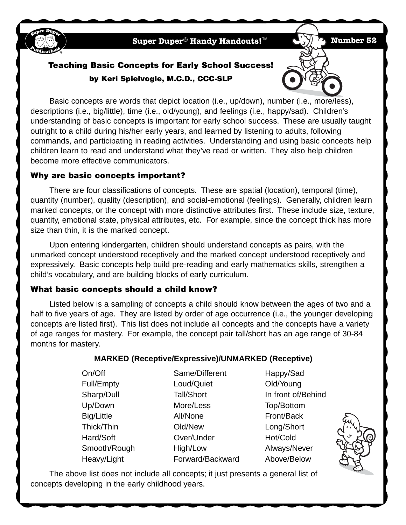

**Super Duper**® **Handy Handouts!**™ **Number 52**

# **Teaching Basic Concepts for Early School Success! by Keri Spielvogle, M.C.D., CCC-SLP**

Basic concepts are words that depict location (i.e., up/down), number (i.e., more/less), descriptions (i.e., big/little), time (i.e., old/young), and feelings (i.e., happy/sad). Children's understanding of basic concepts is important for early school success. These are usually taught outright to a child during his/her early years, and learned by listening to adults, following commands, and participating in reading activities. Understanding and using basic concepts help children learn to read and understand what they've read or written. They also help children become more effective communicators.

#### **Why are basic concepts important?**

There are four classifications of concepts. These are spatial (location), temporal (time), quantity (number), quality (description), and social-emotional (feelings). Generally, children learn marked concepts, or the concept with more distinctive attributes first. These include size, texture, quantity, emotional state, physical attributes, etc. For example, since the concept thick has more size than thin, it is the marked concept.

Upon entering kindergarten, children should understand concepts as pairs, with the unmarked concept understood receptively and the marked concept understood receptively and expressively. Basic concepts help build pre-reading and early mathematics skills, strengthen a child's vocabulary, and are building blocks of early curriculum.

## **What basic concepts should a child know?**

Listed below is a sampling of concepts a child should know between the ages of two and a half to five years of age. They are listed by order of age occurrence (i.e., the younger developing concepts are listed first). This list does not include all concepts and the concepts have a variety of age ranges for mastery. For example, the concept pair tall/short has an age range of 30-84 months for mastery.

## **MARKED (Receptive/Expressive)/UNMARKED (Receptive)**

On/Off Same/Different Happy/Sad

Full/Empty Loud/Quiet Old/Young Up/Down More/Less Top/Bottom Big/Little **All/None Front/Back** Thick/Thin Old/New Long/Short Hard/Soft **Over/Under** Hot/Cold Smooth/Rough High/Low Always/Never Heavy/Light **Forward/Backward** Above/Below

Sharp/Dull Tall/Short In front of/Behind



The above list does not include all concepts; it just presents a general list of concepts developing in the early childhood years.